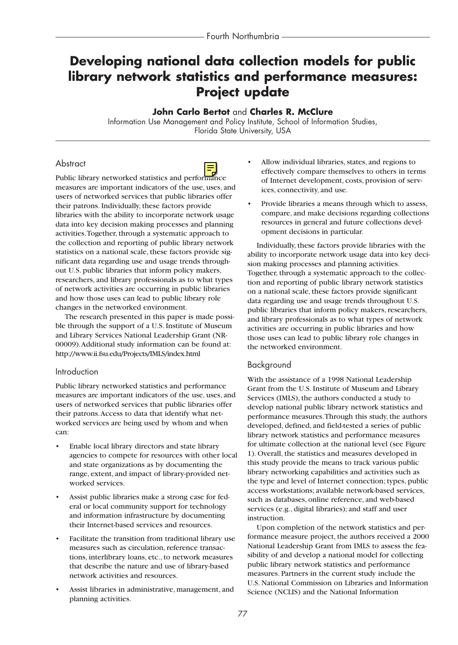# **Developing national data collection models for public library network statistics and performance measures: Project update**

### **John Carlo Bertot** and **Charles R. McClure**

Information Use Management and Policy Institute, School of Information Studies, Florida State University, USA

### **Abstract**

Public library networked statistics and performance measures are important indicators of the use, uses, and users of networked services that public libraries offer their patrons. Individually, these factors provide libraries with the ability to incorporate network usage data into key decision making processes and planning activities.Together, through a systematic approach to the collection and reporting of public library network statistics on a national scale, these factors provide significant data regarding use and usage trends throughout U.S. public libraries that inform policy makers, researchers, and library professionals as to what types of network activities are occurring in public libraries and how those uses can lead to public library role changes in the networked environment.

The research presented in this paper is made possible through the support of a U.S. Institute of Museum and Library Services National Leadership Grant (NR-00009).Additional study information can be found at: http://www.ii.fsu.edu/Projects/IMLS/index.html

#### Introduction

Public library networked statistics and performance measures are important indicators of the use, uses, and users of networked services that public libraries offer their patrons.Access to data that identify what networked services are being used by whom and when can:

- Enable local library directors and state library agencies to compete for resources with other local and state organizations as by documenting the range, extent, and impact of library-provided networked services.
- Assist public libraries make a strong case for federal or local community support for technology and information infrastructure by documenting their Internet-based services and resources.
- Facilitate the transition from traditional library use measures such as circulation, reference transactions, interlibrary loans, etc., to network measures that describe the nature and use of library-based network activities and resources.
- Assist libraries in administrative, management, and planning activities.
- Allow individual libraries, states, and regions to effectively compare themselves to others in terms of Internet development, costs, provision of services, connectivity, and use.
- Provide libraries a means through which to assess, compare, and make decisions regarding collections resources in general and future collections development decisions in particular.

Individually, these factors provide libraries with the ability to incorporate network usage data into key decision making processes and planning activities. Together, through a systematic approach to the collection and reporting of public library network statistics on a national scale, these factors provide significant data regarding use and usage trends throughout U.S. public libraries that inform policy makers, researchers, and library professionals as to what types of network activities are occurring in public libraries and how those uses can lead to public library role changes in the networked environment.

# Background

With the assistance of a 1998 National Leadership Grant from the U.S. Institute of Museum and Library Services (IMLS), the authors conducted a study to develop national public library network statistics and performance measures.Through this study, the authors developed, defined, and field-tested a series of public library network statistics and performance measures for ultimate collection at the national level (see Figure 1). Overall, the statistics and measures developed in this study provide the means to track various public library networking capabilities and activities such as the type and level of Internet connection; types, public access workstations; available network-based services, such as databases, online reference, and web-based services (e.g., digital libraries); and staff and user instruction.

Upon completion of the network statistics and performance measure project, the authors received a 2000 National Leadership Grant from IMLS to assess the feasibility of and develop a national model for collecting public library network statistics and performance measures. Partners in the current study include the U.S. National Commission on Libraries and Information Science (NCLIS) and the National Information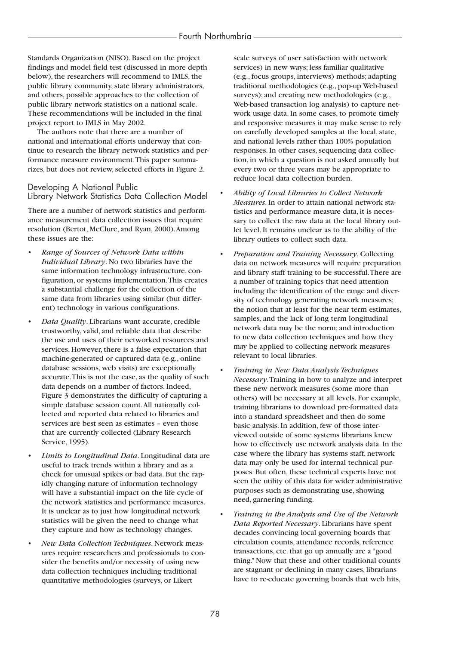Standards Organization (NISO). Based on the project findings and model field test (discussed in more depth below), the researchers will recommend to IMLS, the public library community, state library administrators, and others, possible approaches to the collection of public library network statistics on a national scale. These recommendations will be included in the final project report to IMLS in May 2002.

The authors note that there are a number of national and international efforts underway that continue to research the library network statistics and performance measure environment.This paper summarizes, but does not review, selected efforts in Figure 2.

### Developing A National Public Library Network Statistics Data Collection Model

There are a number of network statistics and performance measurement data collection issues that require resolution (Bertot, McClure, and Ryan, 2000).Among these issues are the:

- *Range of Sources of Network Data within Individual Library*. No two libraries have the same information technology infrastructure, configuration, or systems implementation.This creates a substantial challenge for the collection of the same data from libraries using similar (but different) technology in various configurations.
- *Data Quality*. Librarians want accurate, credible trustworthy, valid, and reliable data that describe the use and uses of their networked resources and services. However, there is a false expectation that machine-generated or captured data (e.g., online database sessions, web visits) are exceptionally accurate.This is not the case, as the quality of such data depends on a number of factors. Indeed, Figure 3 demonstrates the difficulty of capturing a simple database session count.All nationally collected and reported data related to libraries and services are best seen as estimates – even those that are currently collected (Library Research Service, 1995).
- *Limits to Longitudinal Data*. Longitudinal data are useful to track trends within a library and as a check for unusual spikes or bad data. But the rapidly changing nature of information technology will have a substantial impact on the life cycle of the network statistics and performance measures. It is unclear as to just how longitudinal network statistics will be given the need to change what they capture and how as technology changes.
- *New Data Collection Techniques*. Network measures require researchers and professionals to consider the benefits and/or necessity of using new data collection techniques including traditional quantitative methodologies (surveys, or Likert

scale surveys of user satisfaction with network services) in new ways; less familiar qualitative (e.g., focus groups, interviews) methods; adapting traditional methodologies (e.g., pop-up Web-based surveys); and creating new methodologies (e.g., Web-based transaction log analysis) to capture network usage data. In some cases, to promote timely and responsive measures it may make sense to rely on carefully developed samples at the local, state, and national levels rather than 100% population responses. In other cases, sequencing data collection, in which a question is not asked annually but every two or three years may be appropriate to reduce local data collection burden.

- *Ability of Local Libraries to Collect Network Measures*. In order to attain national network statistics and performance measure data, it is necessary to collect the raw data at the local library outlet level. It remains unclear as to the ability of the library outlets to collect such data.
- *Preparation and Training Necessary*. Collecting data on network measures will require preparation and library staff training to be successful.There are a number of training topics that need attention including the identification of the range and diversity of technology generating network measures; the notion that at least for the near term estimates, samples, and the lack of long term longitudinal network data may be the norm; and introduction to new data collection techniques and how they may be applied to collecting network measures relevant to local libraries.
- *Training in New Data Analysis Techniques Necessary*.Training in how to analyze and interpret these new network measures (some more than others) will be necessary at all levels. For example, training librarians to download pre-formatted data into a standard spreadsheet and then do some basic analysis. In addition, few of those interviewed outside of some systems librarians knew how to effectively use network analysis data. In the case where the library has systems staff, network data may only be used for internal technical purposes. But often, these technical experts have not seen the utility of this data for wider administrative purposes such as demonstrating use, showing need, garnering funding.
- *Training in the Analysis and Use of the Network Data Reported Necessary*. Librarians have spent decades convincing local governing boards that circulation counts, attendance records, reference transactions, etc. that go up annually are a "good thing." Now that these and other traditional counts are stagnant or declining in many cases, librarians have to re-educate governing boards that web hits,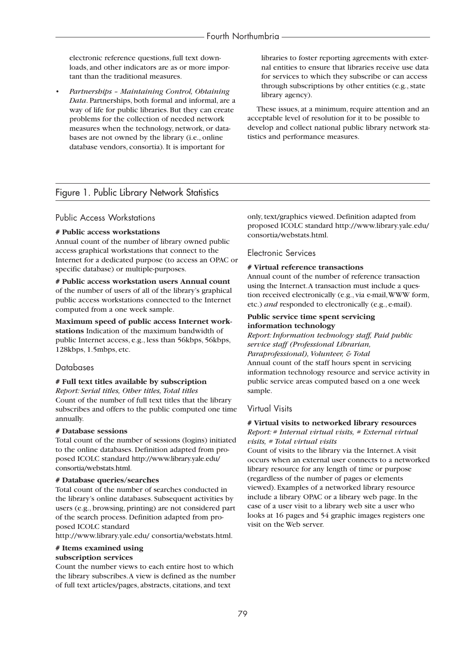electronic reference questions, full text downloads, and other indicators are as or more important than the traditional measures.

• *Partnerships – Maintaining Control, Obtaining Data*. Partnerships, both formal and informal, are a way of life for public libraries. But they can create problems for the collection of needed network measures when the technology, network, or databases are not owned by the library (i.e., online database vendors, consortia). It is important for

libraries to foster reporting agreements with external entities to ensure that libraries receive use data for services to which they subscribe or can access through subscriptions by other entities (e.g., state library agency).

These issues, at a minimum, require attention and an acceptable level of resolution for it to be possible to develop and collect national public library network statistics and performance measures.

# Figure 1. Public Library Network Statistics

#### Public Access Workstations

#### **# Public access workstations**

Annual count of the number of library owned public access graphical workstations that connect to the Internet for a dedicated purpose (to access an OPAC or specific database) or multiple-purposes.

# **# Public access workstation users Annual count**

of the number of users of all of the library's graphical public access workstations connected to the Internet computed from a one week sample.

# **Maximum speed of public access Internet work-**

**stations** Indication of the maximum bandwidth of public Internet access, e.g., less than 56kbps, 56kbps, 128kbps, 1.5mbps, etc.

#### Databases

#### **# Full text titles available by subscription**

*Report: Serial titles, Other titles, Total titles* Count of the number of full text titles that the library subscribes and offers to the public computed one time annually.

#### **# Database sessions**

Total count of the number of sessions (logins) initiated to the online databases. Definition adapted from proposed ICOLC standard http://www.library.yale.edu/ consortia/webstats.html.

#### **# Database queries/searches**

Total count of the number of searches conducted in the library's online databases. Subsequent activities by users (e.g., browsing, printing) are not considered part of the search process. Definition adapted from proposed ICOLC standard

http://www.library.yale.edu/ consortia/webstats.html.

#### **# Items examined using subscription services**

Count the number views to each entire host to which the library subscribes.A view is defined as the number of full text articles/pages, abstracts, citations, and text

only, text/graphics viewed. Definition adapted from proposed ICOLC standard http://www.library.yale.edu/ consortia/webstats.html.

### Electronic Services

#### **# Virtual reference transactions**

Annual count of the number of reference transaction using the Internet.A transaction must include a question received electronically (e.g., via e-mail,WWW form, etc.) *and* responded to electronically (e.g., e-mail).

#### **Public service time spent servicing information technology**

*Report: Information technology staff, Paid public service staff (Professional Librarian, Paraprofessional), Volunteer, & Total* Annual count of the staff hours spent in servicing information technology resource and service activity in public service areas computed based on a one week sample.

#### Virtual Visits

#### **# Virtual visits to networked library resources** *Report: # Internal virtual visits, # External virtual visits, # Total virtual visits*

Count of visits to the library via the Internet.A visit occurs when an external user connects to a networked library resource for any length of time or purpose (regardless of the number of pages or elements viewed). Examples of a networked library resource include a library OPAC or a library web page. In the case of a user visit to a library web site a user who looks at 16 pages and 54 graphic images registers one visit on the Web server.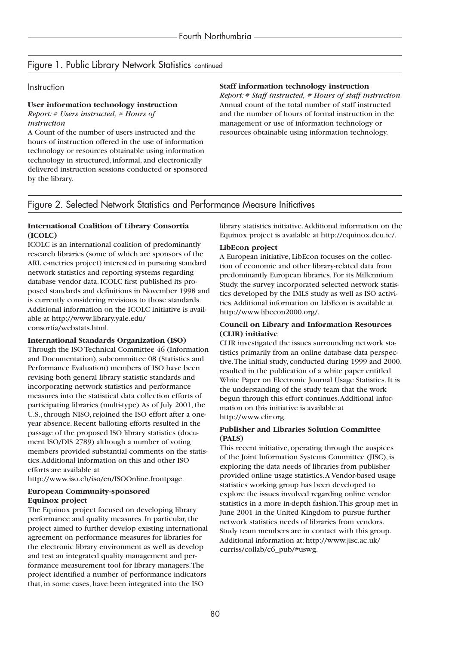# Figure 1. Public Library Network Statistics continued

#### **Instruction**

#### **User information technology instruction**

*Report: # Users instructed, # Hours of instruction*

A Count of the number of users instructed and the hours of instruction offered in the use of information technology or resources obtainable using information technology in structured, informal, and electronically delivered instruction sessions conducted or sponsored by the library.

#### **Staff information technology instruction**

*Report: # Staff instructed, # Hours of staff instruction* Annual count of the total number of staff instructed and the number of hours of formal instruction in the management or use of information technology or resources obtainable using information technology.

# Figure 2. Selected Network Statistics and Performance Measure Initiatives

#### **International Coalition of Library Consortia (ICOLC)**

ICOLC is an international coalition of predominantly research libraries (some of which are sponsors of the ARL e-metrics project) interested in pursuing standard network statistics and reporting systems regarding database vendor data. ICOLC first published its proposed standards and definitions in November 1998 and is currently considering revisions to those standards. Additional information on the ICOLC initiative is available at http://www.library.yale.edu/ consortia/webstats.html.

#### **International Standards Organization (ISO)**

Through the ISO Technical Committee 46 (Information and Documentation), subcommittee 08 (Statistics and Performance Evaluation) members of ISO have been revising both general library statistic standards and incorporating network statistics and performance measures into the statistical data collection efforts of participating libraries (multi-type).As of July 2001, the U.S., through NISO, rejoined the ISO effort after a oneyear absence. Recent balloting efforts resulted in the passage of the proposed ISO library statistics (document ISO/DIS 2789) although a number of voting members provided substantial comments on the statistics.Additional information on this and other ISO efforts are available at

http://www.iso.ch/iso/en/ISOOnline.frontpage.

#### **European Community-sponsored Equinox project**

The Equinox project focused on developing library performance and quality measures. In particular, the project aimed to further develop existing international agreement on performance measures for libraries for the electronic library environment as well as develop and test an integrated quality management and performance measurement tool for library managers.The project identified a number of performance indicators that, in some cases, have been integrated into the ISO

library statistics initiative.Additional information on the Equinox project is available at http://equinox.dcu.ie/.

#### **LibEcon project**

A European initiative, LibEcon focuses on the collection of economic and other library-related data from predominantly European libraries. For its Millennium Study, the survey incorporated selected network statistics developed by the IMLS study as well as ISO activities.Additional information on LibEcon is available at http://www.libecon2000.org/.

#### **Council on Library and Information Resources (CLIR) initiative**

CLIR investigated the issues surrounding network statistics primarily from an online database data perspective.The initial study, conducted during 1999 and 2000, resulted in the publication of a white paper entitled White Paper on Electronic Journal Usage Statistics. It is the understanding of the study team that the work begun through this effort continues.Additional information on this initiative is available at http://www.clir.org.

#### **Publisher and Libraries Solution Committee (PALS)**

This recent initiative, operating through the auspices of the Joint Information Systems Committee (JISC), is exploring the data needs of libraries from publisher provided online usage statistics.A Vendor-based usage statistics working group has been developed to explore the issues involved regarding online vendor statistics in a more in-depth fashion.This group met in June 2001 in the United Kingdom to pursue further network statistics needs of libraries from vendors. Study team members are in contact with this group. Additional information at: http://www.jisc.ac.uk/ curriss/collab/c6\_pub/#uswg.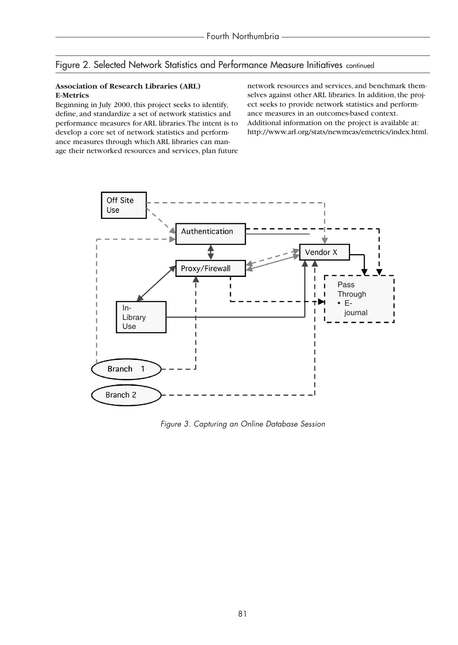# Figure 2. Selected Network Statistics and Performance Measure Initiatives continued

#### **Association of Research Libraries (ARL) E-Metrics**

Beginning in July 2000, this project seeks to identify, define, and standardize a set of network statistics and performance measures for ARL libraries.The intent is to develop a core set of network statistics and performance measures through which ARL libraries can manage their networked resources and services, plan future

network resources and services, and benchmark themselves against other ARL libraries. In addition, the project seeks to provide network statistics and performance measures in an outcomes-based context. Additional information on the project is available at: http://www.arl.org/stats/newmeas/emetrics/index.html.



*Figure 3. Capturing an Online Database Session*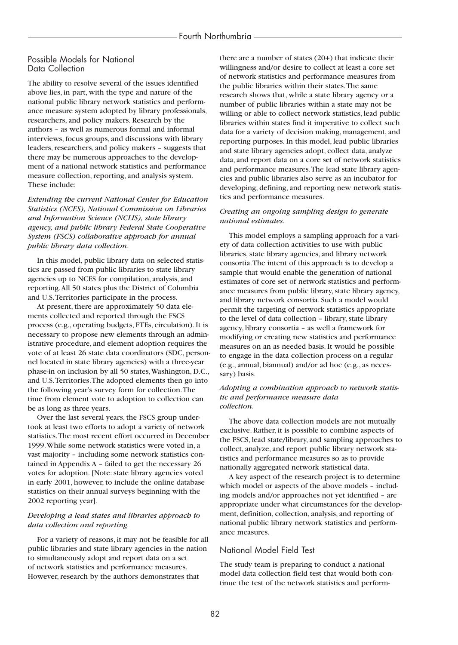#### Possible Models for National Data Collection

The ability to resolve several of the issues identified above lies, in part, with the type and nature of the national public library network statistics and performance measure system adopted by library professionals, researchers, and policy makers. Research by the authors – as well as numerous formal and informal interviews, focus groups, and discussions with library leaders, researchers, and policy makers – suggests that there may be numerous approaches to the development of a national network statistics and performance measure collection, reporting, and analysis system. These include:

*Extending the current National Center for Education Statistics (NCES), National Commission on Libraries and Information Science (NCLIS), state library agency, and public library Federal State Cooperative System (FSCS) collaborative approach for annual public library data collection*.

In this model, public library data on selected statistics are passed from public libraries to state library agencies up to NCES for compilation, analysis, and reporting.All 50 states plus the District of Columbia and U.S.Territories participate in the process.

At present, there are approximately 50 data elements collected and reported through the FSCS process (e.g., operating budgets, FTEs, circulation). It is necessary to propose new elements through an administrative procedure, and element adoption requires the vote of at least 26 state data coordinators (SDC, personnel located in state library agencies) with a three-year phase-in on inclusion by all 50 states,Washington, D.C., and U.S.Territories.The adopted elements then go into the following year's survey form for collection.The time from element vote to adoption to collection can be as long as three years.

Over the last several years, the FSCS group undertook at least two efforts to adopt a variety of network statistics.The most recent effort occurred in December 1999.While some network statistics were voted in, a vast majority – including some network statistics contained in Appendix A – failed to get the necessary 26 votes for adoption. [Note: state library agencies voted in early 2001, however, to include the online database statistics on their annual surveys beginning with the 2002 reporting year].

#### *Developing a lead states and libraries approach to data collection and reporting.*

For a variety of reasons, it may not be feasible for all public libraries and state library agencies in the nation to simultaneously adopt and report data on a set of network statistics and performance measures. However, research by the authors demonstrates that

there are a number of states (20+) that indicate their willingness and/or desire to collect at least a core set of network statistics and performance measures from the public libraries within their states.The same research shows that, while a state library agency or a number of public libraries within a state may not be willing or able to collect network statistics, lead public libraries within states find it imperative to collect such data for a variety of decision making, management, and reporting purposes. In this model, lead public libraries and state library agencies adopt, collect data, analyze data, and report data on a core set of network statistics and performance measures.The lead state library agencies and public libraries also serve as an incubator for developing, defining, and reporting new network statistics and performance measures.

#### *Creating an ongoing sampling design to generate national estimates.*

This model employs a sampling approach for a variety of data collection activities to use with public libraries, state library agencies, and library network consortia.The intent of this approach is to develop a sample that would enable the generation of national estimates of core set of network statistics and performance measures from public library, state library agency, and library network consortia. Such a model would permit the targeting of network statistics appropriate to the level of data collection – library, state library agency, library consortia – as well a framework for modifying or creating new statistics and performance measures on an as needed basis. It would be possible to engage in the data collection process on a regular (e.g., annual, biannual) and/or ad hoc (e.g., as necessary) basis.

#### *Adopting a combination approach to network statistic and performance measure data collection.*

The above data collection models are not mutually exclusive. Rather, it is possible to combine aspects of the FSCS, lead state/library, and sampling approaches to collect, analyze, and report public library network statistics and performance measures so as to provide nationally aggregated network statistical data.

A key aspect of the research project is to determine which model or aspects of the above models – including models and/or approaches not yet identified – are appropriate under what circumstances for the development, definition, collection, analysis, and reporting of national public library network statistics and performance measures.

#### National Model Field Test

The study team is preparing to conduct a national model data collection field test that would both continue the test of the network statistics and perform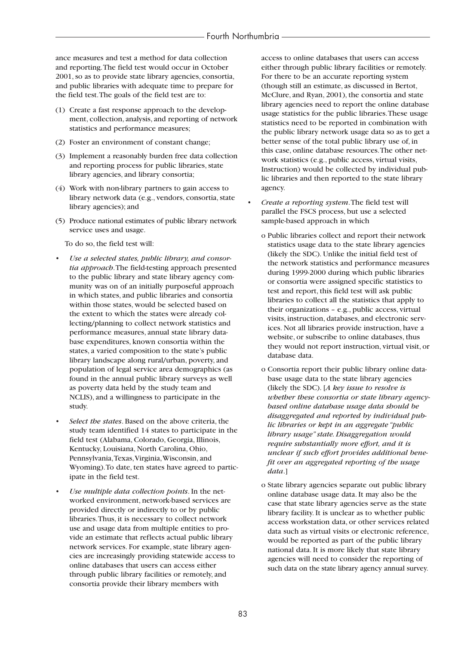ance measures and test a method for data collection and reporting.The field test would occur in October 2001, so as to provide state library agencies, consortia, and public libraries with adequate time to prepare for the field test.The goals of the field test are to:

- (1) Create a fast response approach to the development, collection, analysis, and reporting of network statistics and performance measures;
- (2) Foster an environment of constant change;
- (3) Implement a reasonably burden free data collection and reporting process for public libraries, state library agencies, and library consortia;
- (4) Work with non-library partners to gain access to library network data (e.g., vendors, consortia, state library agencies); and
- (5) Produce national estimates of public library network service uses and usage.

To do so, the field test will:

- Use a selected states, public library, and consor*tia approach*.The field-testing approach presented to the public library and state library agency community was on of an initially purposeful approach in which states, and public libraries and consortia within those states, would be selected based on the extent to which the states were already collecting/planning to collect network statistics and performance measures, annual state library database expenditures, known consortia within the states, a varied composition to the state's public library landscape along rural/urban, poverty, and population of legal service area demographics (as found in the annual public library surveys as well as poverty data held by the study team and NCLIS), and a willingness to participate in the study.
- *Select the states*. Based on the above criteria, the study team identified 14 states to participate in the field test (Alabama, Colorado, Georgia, Illinois, Kentucky, Louisiana, North Carolina, Ohio, Pennsylvania,Texas,Virginia,Wisconsin, and Wyoming).To date, ten states have agreed to participate in the field test.
- *Use multiple data collection points*. In the networked environment, network-based services are provided directly or indirectly to or by public libraries.Thus, it is necessary to collect network use and usage data from multiple entities to provide an estimate that reflects actual public library network services. For example, state library agencies are increasingly providing statewide access to online databases that users can access either through public library facilities or remotely, and consortia provide their library members with

access to online databases that users can access either through public library facilities or remotely. For there to be an accurate reporting system (though still an estimate, as discussed in Bertot, McClure, and Ryan, 2001), the consortia and state library agencies need to report the online database usage statistics for the public libraries.These usage statistics need to be reported in combination with the public library network usage data so as to get a better sense of the total public library use of, in this case, online database resources.The other network statistics (e.g., public access, virtual visits, Instruction) would be collected by individual public libraries and then reported to the state library agency.

- *Create a reporting system*.The field test will parallel the FSCS process, but use a selected sample-based approach in which
	- o Public libraries collect and report their network statistics usage data to the state library agencies (likely the SDC). Unlike the initial field test of the network statistics and performance measures during 1999-2000 during which public libraries or consortia were assigned specific statistics to test and report, this field test will ask public libraries to collect all the statistics that apply to their organizations – e.g., public access, virtual visits, instruction, databases, and electronic services. Not all libraries provide instruction, have a website, or subscribe to online databases, thus they would not report instruction, virtual visit, or database data.
	- o Consortia report their public library online database usage data to the state library agencies (likely the SDC). [*A key issue to resolve is whether these consortia or state library agencybased online database usage data should be disaggregated and reported by individual public libraries or kept in an aggregate "public library usage" state. Disaggregation would require substantially more effort, and it is unclear if such effort provides additional benefit over an aggregated reporting of the usage data*.]
	- o State library agencies separate out public library online database usage data. It may also be the case that state library agencies serve as the state library facility. It is unclear as to whether public access workstation data, or other services related data such as virtual visits or electronic reference, would be reported as part of the public library national data. It is more likely that state library agencies will need to consider the reporting of such data on the state library agency annual survey.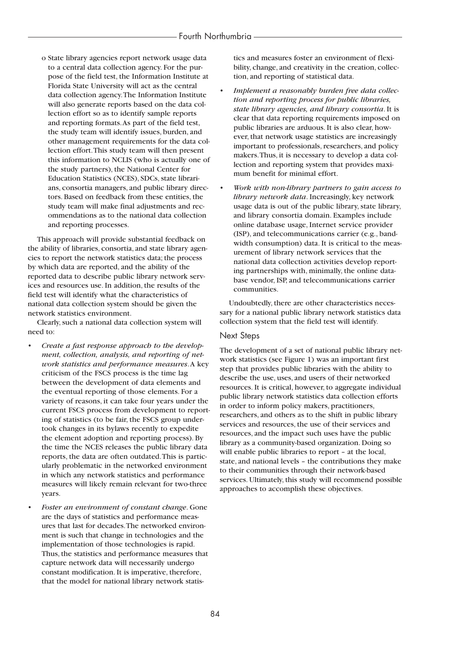o State library agencies report network usage data to a central data collection agency. For the purpose of the field test, the Information Institute at Florida State University will act as the central data collection agency.The Information Institute will also generate reports based on the data collection effort so as to identify sample reports and reporting formats.As part of the field test, the study team will identify issues, burden, and other management requirements for the data collection effort.This study team will then present this information to NCLIS (who is actually one of the study partners), the National Center for Education Statistics (NCES), SDCs, state librarians, consortia managers, and public library directors. Based on feedback from these entities, the study team will make final adjustments and recommendations as to the national data collection and reporting processes.

This approach will provide substantial feedback on the ability of libraries, consortia, and state library agencies to report the network statistics data; the process by which data are reported, and the ability of the reported data to describe public library network services and resources use. In addition, the results of the field test will identify what the characteristics of national data collection system should be given the network statistics environment.

Clearly, such a national data collection system will need to:

- *Create a fast response approach to the development, collection, analysis, and reporting of network statistics and performance measures*.A key criticism of the FSCS process is the time lag between the development of data elements and the eventual reporting of those elements. For a variety of reasons, it can take four years under the current FSCS process from development to reporting of statistics (to be fair, the FSCS group undertook changes in its bylaws recently to expedite the element adoption and reporting process). By the time the NCES releases the public library data reports, the data are often outdated.This is particularly problematic in the networked environment in which any network statistics and performance measures will likely remain relevant for two-three years.
- *Foster an environment of constant change*. Gone are the days of statistics and performance measures that last for decades.The networked environment is such that change in technologies and the implementation of those technologies is rapid. Thus, the statistics and performance measures that capture network data will necessarily undergo constant modification. It is imperative, therefore, that the model for national library network statis-

tics and measures foster an environment of flexibility, change, and creativity in the creation, collection, and reporting of statistical data.

- *Implement a reasonably burden free data collection and reporting process for public libraries, state library agencies, and library consortia*. It is clear that data reporting requirements imposed on public libraries are arduous. It is also clear, however, that network usage statistics are increasingly important to professionals, researchers, and policy makers.Thus, it is necessary to develop a data collection and reporting system that provides maximum benefit for minimal effort.
- *Work with non-library partners to gain access to library network data*. Increasingly, key network usage data is out of the public library, state library, and library consortia domain. Examples include online database usage, Internet service provider (ISP), and telecommunications carrier (e.g., bandwidth consumption) data. It is critical to the measurement of library network services that the national data collection activities develop reporting partnerships with, minimally, the online database vendor, ISP, and telecommunications carrier communities.

Undoubtedly, there are other characteristics necessary for a national public library network statistics data collection system that the field test will identify.

#### Next Steps

The development of a set of national public library network statistics (see Figure 1) was an important first step that provides public libraries with the ability to describe the use, uses, and users of their networked resources. It is critical, however, to aggregate individual public library network statistics data collection efforts in order to inform policy makers, practitioners, researchers, and others as to the shift in public library services and resources, the use of their services and resources, and the impact such uses have the public library as a community-based organization. Doing so will enable public libraries to report – at the local, state, and national levels – the contributions they make to their communities through their network-based services. Ultimately, this study will recommend possible approaches to accomplish these objectives.